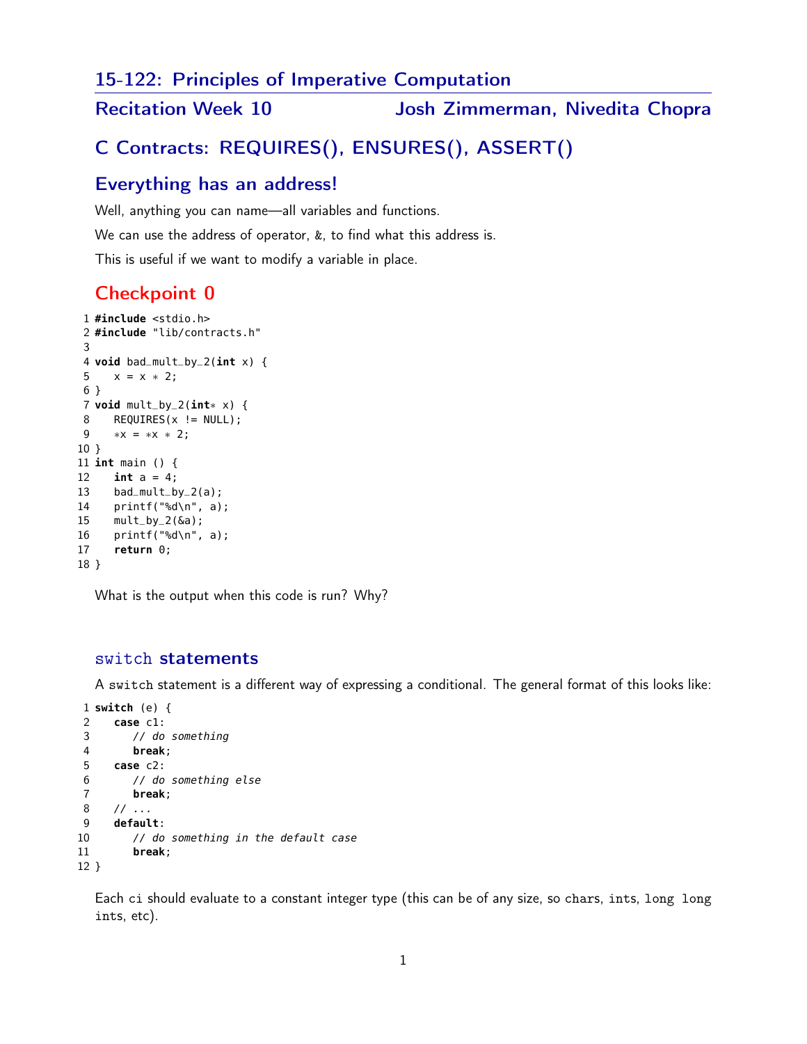15-122: Principles of Imperative Computation

Recitation Week 10 **Josh Zimmerman, Nivedita Chopra** 

# C Contracts: REQUIRES(), ENSURES(), ASSERT()

## Everything has an address!

Well, anything you can name—all variables and functions.

We can use the address of operator, &, to find what this address is.

This is useful if we want to modify a variable in place.

## Checkpoint 0

```
1 #include <stdio.h>
2 #include "lib/contracts.h"
3
4 void bad_mult_by_2(int x) {
5 x = x * 2;6 }
7 void mult_by_2(int∗ x) {
8 REQUIRES(x != NULL);
9 ∗x = ∗x ∗ 2;
10 }
11 int main () {
12 int a = 4;
13 bad_mult_by_2(a);
14 printf("%d\n", a);
15 mult_by_2(&a);
16 printf("%d\n", a);
17 return 0;
18 }
```
What is the output when this code is run? Why?

#### switch statements

A switch statement is a different way of expressing a conditional. The general format of this looks like:

```
1 switch (e) {
2 case c1:
3 // do something
4 break;
5 case c2:
6 // do something else
7 break;
8 // ...
9 default:
10 // do something in the default case
11 break;
12 }
```
Each ci should evaluate to a constant integer type (this can be of any size, so chars, ints, long long ints, etc).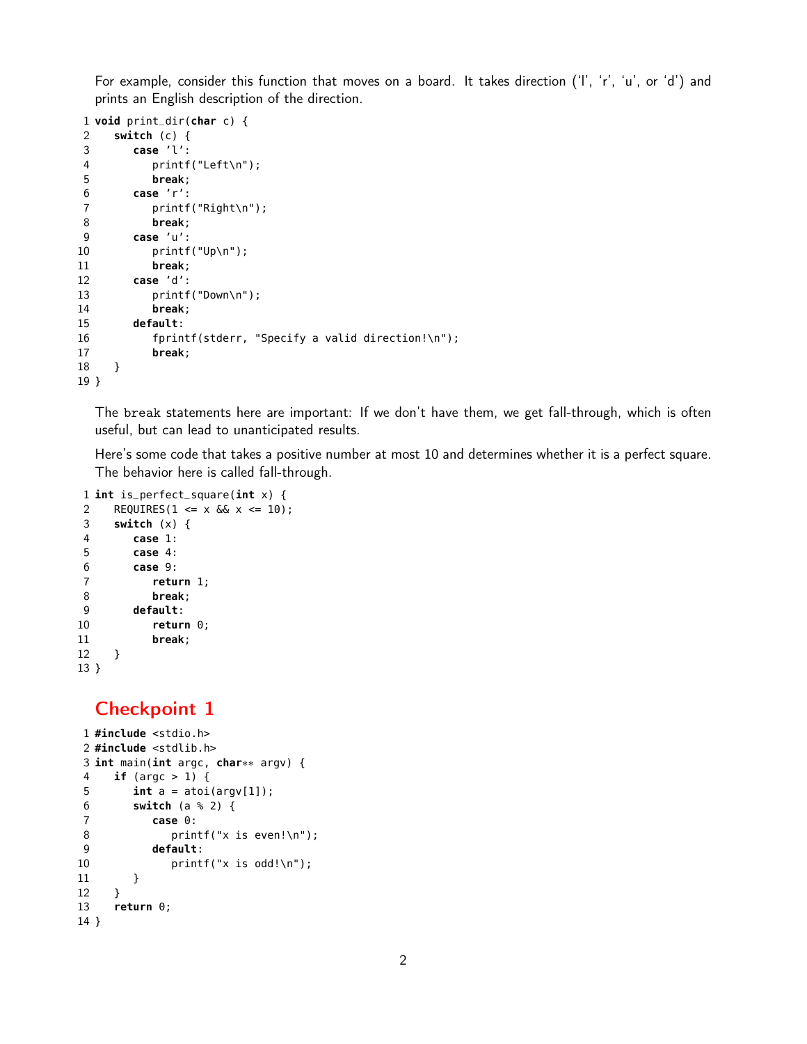For example, consider this function that moves on a board. It takes direction ('l', 'r', 'u', or 'd') and prints an English description of the direction.

```
1 void print_dir(char c) {
2 switch (c) {
3 case 'l':
4 printf("Left\n");
5 break;
6 case 'r':
7 printf("Right\n");
8 break;
9 case 'u':
10 printf("Up\n");
11 break;
12 case 'd':
13 printf("Down\n");
14 break;
15 default:
16 fprintf(stderr, "Specify a valid direction!\n");
17 break;
18 }
19 }
```
The break statements here are important: If we don't have them, we get fall-through, which is often useful, but can lead to unanticipated results.

Here's some code that takes a positive number at most 10 and determines whether it is a perfect square. The behavior here is called fall-through.

```
1 int is_perfect_square(int x) {
2 REQUIRES(1 <= x \&6x x <= 10);
3 switch (x) {
4 case 1:
5 case 4:
6 case 9:
7 return 1;
8 break;
9 default:
10 return 0;
11 break;
12 }
13 }
```
## Checkpoint 1

```
1 #include <stdio.h>
2 #include <stdlib.h>
3 int main(int argc, char∗∗ argv) {
4 if (argc > 1) {
5 int a = \text{atoi}(\text{arg}v[1]);6 switch (a % 2) {
7 case 0:
8 printf("x is even!\n");
9 default:
10 print(f(x is odd!) \cdot n);
11 }
12 }
13 return 0;
14 }
```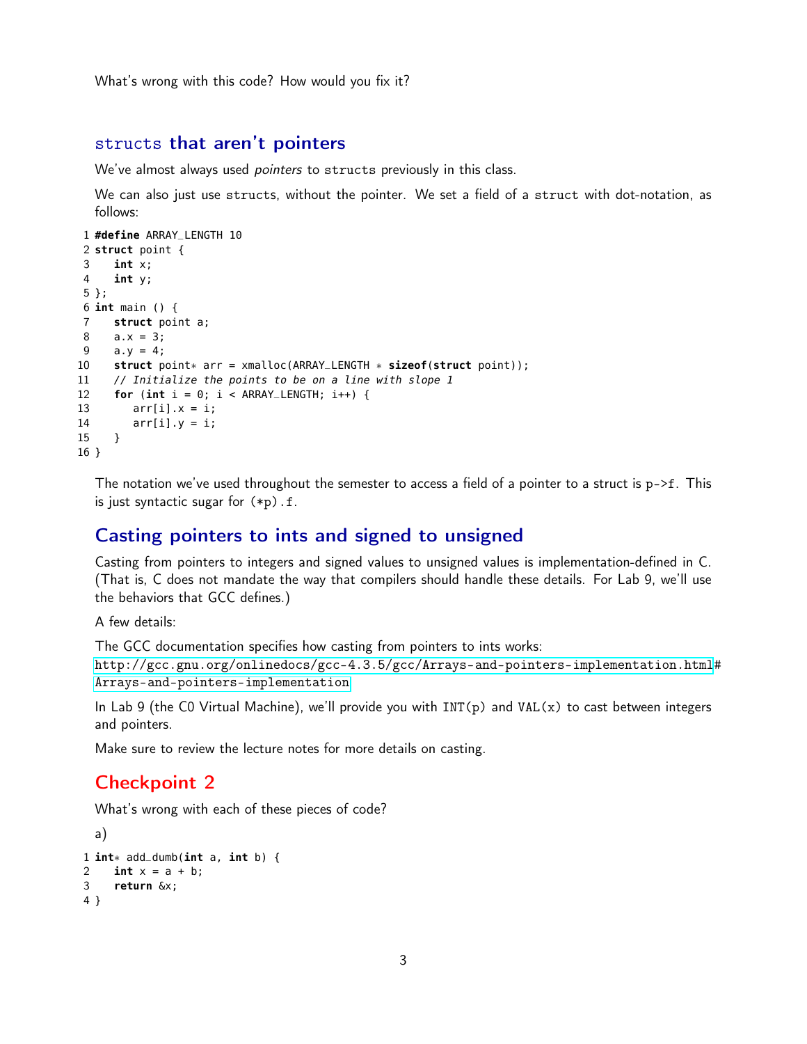What's wrong with this code? How would you fix it?

#### structs that aren't pointers

We've almost always used *pointers* to structs previously in this class.

We can also just use structs, without the pointer. We set a field of a struct with dot-notation, as follows:

```
1 #define ARRAY_LENGTH 10
 2 struct point {
3 int x;
4 int y;
5 };
6 int main () {
7 struct point a;
8 a.x = 3;
9 a.y = 4;
10 struct point∗ arr = xmalloc(ARRAY_LENGTH ∗ sizeof(struct point));
11 // Initialize the points to be on a line with slope 1
12 for (int i = 0; i < ARRAY_LENGTH; i++) {
13 \arr[i].x = i;14 \arr[i], y = i;15 }
16 }
```
The notation we've used throughout the semester to access a field of a pointer to a struct is  $p$ ->f. This is just syntactic sugar for  $(*p)$ . f.

#### Casting pointers to ints and signed to unsigned

Casting from pointers to integers and signed values to unsigned values is implementation-defined in C. (That is, C does not mandate the way that compilers should handle these details. For Lab 9, we'll use the behaviors that GCC defines.)

A few details:

The GCC documentation specifies how casting from pointers to ints works:

[http://gcc.gnu.org/onlinedocs/gcc-4.3.5/gcc/Arrays-and-pointers-implementation.html](http://gcc.gnu.org/onlinedocs/gcc-4.3.5/gcc/Arrays-and-pointers-implementation.html#Arrays-and-pointers-implementation)# [Arrays-and-pointers-implementation](http://gcc.gnu.org/onlinedocs/gcc-4.3.5/gcc/Arrays-and-pointers-implementation.html#Arrays-and-pointers-implementation)

In Lab 9 (the C0 Virtual Machine), we'll provide you with INT(p) and VAL(x) to cast between integers and pointers.

Make sure to review the lecture notes for more details on casting.

### Checkpoint 2

What's wrong with each of these pieces of code?

```
a)
1 int∗ add_dumb(int a, int b) {
2 int x = a + b;
3 return &x;
4 }
```